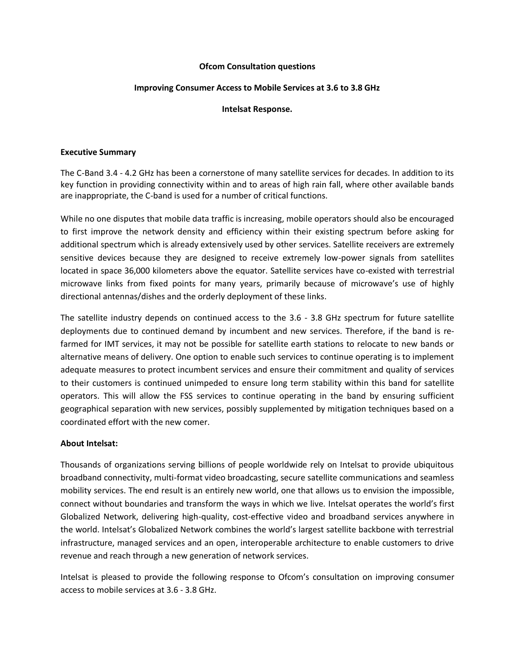### **Ofcom Consultation questions**

### **Improving Consumer Access to Mobile Services at 3.6 to 3.8 GHz**

#### **Intelsat Response.**

#### **Executive Summary**

The C-Band 3.4 - 4.2 GHz has been a cornerstone of many satellite services for decades. In addition to its key function in providing connectivity within and to areas of high rain fall, where other available bands are inappropriate, the C-band is used for a number of critical functions.

While no one disputes that mobile data traffic is increasing, mobile operators should also be encouraged to first improve the network density and efficiency within their existing spectrum before asking for additional spectrum which is already extensively used by other services. Satellite receivers are extremely sensitive devices because they are designed to receive extremely low-power signals from satellites located in space 36,000 kilometers above the equator. Satellite services have co-existed with terrestrial microwave links from fixed points for many years, primarily because of microwave's use of highly directional antennas/dishes and the orderly deployment of these links.

The satellite industry depends on continued access to the 3.6 - 3.8 GHz spectrum for future satellite deployments due to continued demand by incumbent and new services. Therefore, if the band is refarmed for IMT services, it may not be possible for satellite earth stations to relocate to new bands or alternative means of delivery. One option to enable such services to continue operating is to implement adequate measures to protect incumbent services and ensure their commitment and quality of services to their customers is continued unimpeded to ensure long term stability within this band for satellite operators. This will allow the FSS services to continue operating in the band by ensuring sufficient geographical separation with new services, possibly supplemented by mitigation techniques based on a coordinated effort with the new comer.

#### **About Intelsat:**

Thousands of organizations serving billions of people worldwide rely on Intelsat to provide ubiquitous broadband connectivity, multi-format video broadcasting, secure satellite communications and seamless mobility services. The end result is an entirely new world, one that allows us to envision the impossible, connect without boundaries and transform the ways in which we live. Intelsat operates the world's first Globalized Network, delivering high-quality, cost-effective video and broadband services anywhere in the world. Intelsat's Globalized Network combines the world's largest satellite backbone with terrestrial infrastructure, managed services and an open, interoperable architecture to enable customers to drive revenue and reach through a new generation of network services.

Intelsat is pleased to provide the following response to Ofcom's consultation on improving consumer access to mobile services at 3.6 - 3.8 GHz.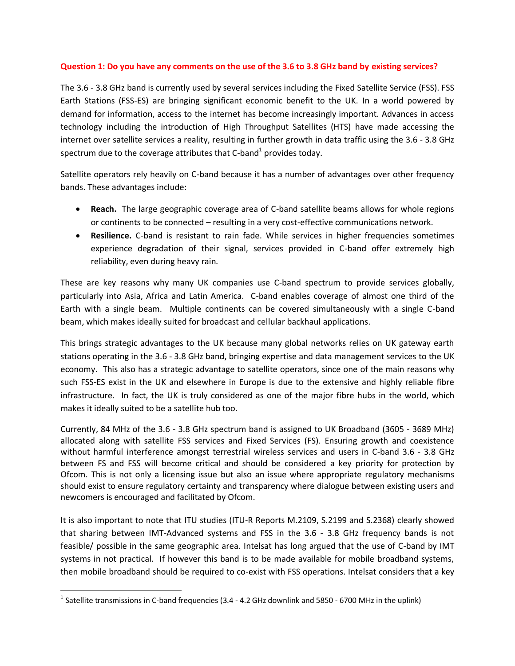### **Question 1: Do you have any comments on the use of the 3.6 to 3.8 GHz band by existing services?**

The 3.6 - 3.8 GHz band is currently used by several services including the Fixed Satellite Service (FSS). FSS Earth Stations (FSS-ES) are bringing significant economic benefit to the UK. In a world powered by demand for information, access to the internet has become increasingly important. Advances in access technology including the introduction of High Throughput Satellites (HTS) have made accessing the internet over satellite services a reality, resulting in further growth in data traffic using the 3.6 - 3.8 GHz spectrum due to the coverage attributes that C-band<sup>1</sup> provides today.

Satellite operators rely heavily on C-band because it has a number of advantages over other frequency bands. These advantages include:

- **Reach.** The large geographic coverage area of C-band satellite beams allows for whole regions or continents to be connected – resulting in a very cost-effective communications network.
- **Resilience.** C-band is resistant to rain fade. While services in higher frequencies sometimes experience degradation of their signal, services provided in C-band offer extremely high reliability, even during heavy rain.

These are key reasons why many UK companies use C-band spectrum to provide services globally, particularly into Asia, Africa and Latin America. C-band enables coverage of almost one third of the Earth with a single beam. Multiple continents can be covered simultaneously with a single C-band beam, which makes ideally suited for broadcast and cellular backhaul applications.

This brings strategic advantages to the UK because many global networks relies on UK gateway earth stations operating in the 3.6 - 3.8 GHz band, bringing expertise and data management services to the UK economy. This also has a strategic advantage to satellite operators, since one of the main reasons why such FSS-ES exist in the UK and elsewhere in Europe is due to the extensive and highly reliable fibre infrastructure. In fact, the UK is truly considered as one of the major fibre hubs in the world, which makes it ideally suited to be a satellite hub too.

Currently, 84 MHz of the 3.6 - 3.8 GHz spectrum band is assigned to UK Broadband (3605 - 3689 MHz) allocated along with satellite FSS services and Fixed Services (FS). Ensuring growth and coexistence without harmful interference amongst terrestrial wireless services and users in C-band 3.6 - 3.8 GHz between FS and FSS will become critical and should be considered a key priority for protection by Ofcom. This is not only a licensing issue but also an issue where appropriate regulatory mechanisms should exist to ensure regulatory certainty and transparency where dialogue between existing users and newcomers is encouraged and facilitated by Ofcom.

It is also important to note that ITU studies (ITU-R Reports M.2109, S.2199 and S.2368) clearly showed that sharing between IMT-Advanced systems and FSS in the 3.6 - 3.8 GHz frequency bands is not feasible/ possible in the same geographic area. Intelsat has long argued that the use of C-band by IMT systems in not practical. If however this band is to be made available for mobile broadband systems, then mobile broadband should be required to co-exist with FSS operations. Intelsat considers that a key

 $\overline{\phantom{a}}$ 

<sup>&</sup>lt;sup>1</sup> Satellite transmissions in C-band frequencies (3.4 - 4.2 GHz downlink and 5850 - 6700 MHz in the uplink)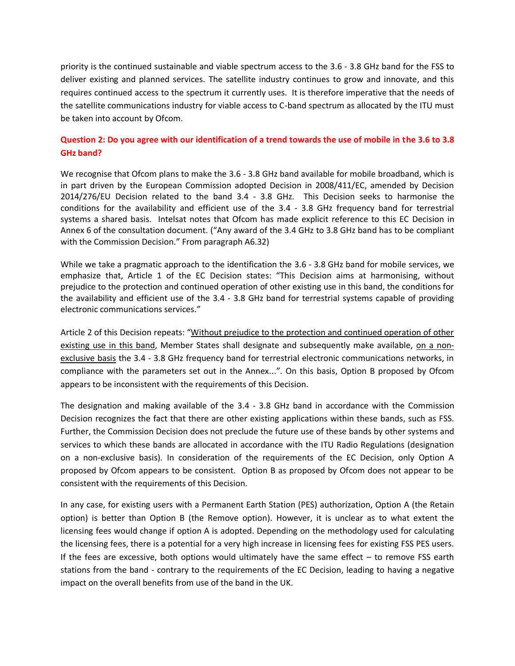priority is the continued sustainable and viable spectrum access to the 3.6 - 3.8 GHz band for the FSS to deliver existing and planned services. The satellite industry continues to grow and innovate, and this requires continued access to the spectrum it currently uses. It is therefore imperative that the needs of the satellite communications industry for viable access to C-band spectrum as allocated by the ITU must be taken into account by Ofcom.

## **Question 2: Do you agree with our identification of a trend towards the use of mobile in the 3.6 to 3.8 GHz band?**

We recognise that Ofcom plans to make the 3.6 - 3.8 GHz band available for mobile broadband, which is in part driven by the European Commission adopted Decision in 2008/411/EC, amended by Decision 2014/276/EU Decision related to the band 3.4 - 3.8 GHz. This Decision seeks to harmonise the conditions for the availability and efficient use of the 3.4 - 3.8 GHz frequency band for terrestrial systems a shared basis. Intelsat notes that Ofcom has made explicit reference to this EC Decision in Annex 6 of the consultation document. ("Any award of the 3.4 GHz to 3.8 GHz band has to be compliant with the Commission Decision." From paragraph A6.32)

While we take a pragmatic approach to the identification the 3.6 - 3.8 GHz band for mobile services, we emphasize that, Article 1 of the EC Decision states: "This Decision aims at harmonising, without prejudice to the protection and continued operation of other existing use in this band, the conditions for the availability and efficient use of the 3.4 - 3.8 GHz band for terrestrial systems capable of providing electronic communications services."

Article 2 of this Decision repeats: "Without prejudice to the protection and continued operation of other existing use in this band, Member States shall designate and subsequently make available, on a nonexclusive basis the 3.4 - 3.8 GHz frequency band for terrestrial electronic communications networks, in compliance with the parameters set out in the Annex...". On this basis, Option B proposed by Ofcom appears to be inconsistent with the requirements of this Decision.

The designation and making available of the 3.4 - 3.8 GHz band in accordance with the Commission Decision recognizes the fact that there are other existing applications within these bands, such as FSS. Further, the Commission Decision does not preclude the future use of these bands by other systems and services to which these bands are allocated in accordance with the ITU Radio Regulations (designation on a non-exclusive basis). In consideration of the requirements of the EC Decision, only Option A proposed by Ofcom appears to be consistent. Option B as proposed by Ofcom does not appear to be consistent with the requirements of this Decision.

In any case, for existing users with a Permanent Earth Station (PES) authorization, Option A (the Retain option) is better than Option B (the Remove option). However, it is unclear as to what extent the licensing fees would change if option A is adopted. Depending on the methodology used for calculating the licensing fees, there is a potential for a very high increase in licensing fees for existing FSS PES users. If the fees are excessive, both options would ultimately have the same effect – to remove FSS earth stations from the band - contrary to the requirements of the EC Decision, leading to having a negative impact on the overall benefits from use of the band in the UK.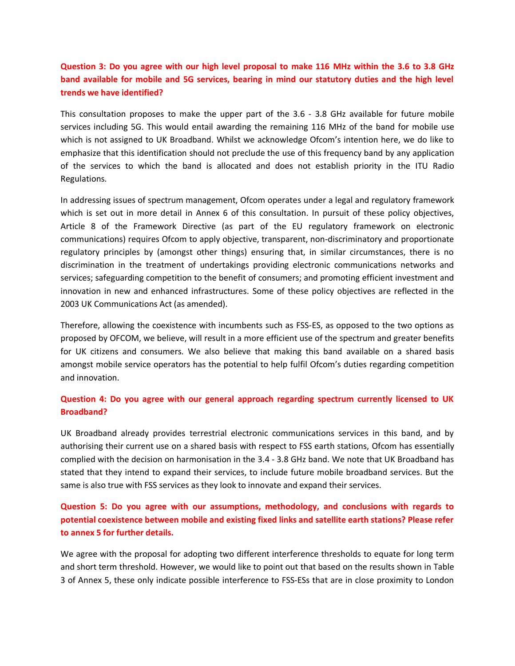## **Question 3: Do you agree with our high level proposal to make 116 MHz within the 3.6 to 3.8 GHz band available for mobile and 5G services, bearing in mind our statutory duties and the high level trends we have identified?**

This consultation proposes to make the upper part of the 3.6 - 3.8 GHz available for future mobile services including 5G. This would entail awarding the remaining 116 MHz of the band for mobile use which is not assigned to UK Broadband. Whilst we acknowledge Ofcom's intention here, we do like to emphasize that this identification should not preclude the use of this frequency band by any application of the services to which the band is allocated and does not establish priority in the ITU Radio Regulations.

In addressing issues of spectrum management, Ofcom operates under a legal and regulatory framework which is set out in more detail in Annex 6 of this consultation. In pursuit of these policy objectives, Article 8 of the Framework Directive (as part of the EU regulatory framework on electronic communications) requires Ofcom to apply objective, transparent, non-discriminatory and proportionate regulatory principles by (amongst other things) ensuring that, in similar circumstances, there is no discrimination in the treatment of undertakings providing electronic communications networks and services; safeguarding competition to the benefit of consumers; and promoting efficient investment and innovation in new and enhanced infrastructures. Some of these policy objectives are reflected in the 2003 UK Communications Act (as amended).

Therefore, allowing the coexistence with incumbents such as FSS-ES, as opposed to the two options as proposed by OFCOM, we believe, will result in a more efficient use of the spectrum and greater benefits for UK citizens and consumers. We also believe that making this band available on a shared basis amongst mobile service operators has the potential to help fulfil Ofcom's duties regarding competition and innovation.

### **Question 4: Do you agree with our general approach regarding spectrum currently licensed to UK Broadband?**

UK Broadband already provides terrestrial electronic communications services in this band, and by authorising their current use on a shared basis with respect to FSS earth stations, Ofcom has essentially complied with the decision on harmonisation in the 3.4 - 3.8 GHz band. We note that UK Broadband has stated that they intend to expand their services, to include future mobile broadband services. But the same is also true with FSS services as they look to innovate and expand their services.

## **Question 5: Do you agree with our assumptions, methodology, and conclusions with regards to potential coexistence between mobile and existing fixed links and satellite earth stations? Please refer to annex 5 for further details.**

We agree with the proposal for adopting two different interference thresholds to equate for long term and short term threshold. However, we would like to point out that based on the results shown in Table 3 of Annex 5, these only indicate possible interference to FSS-ESs that are in close proximity to London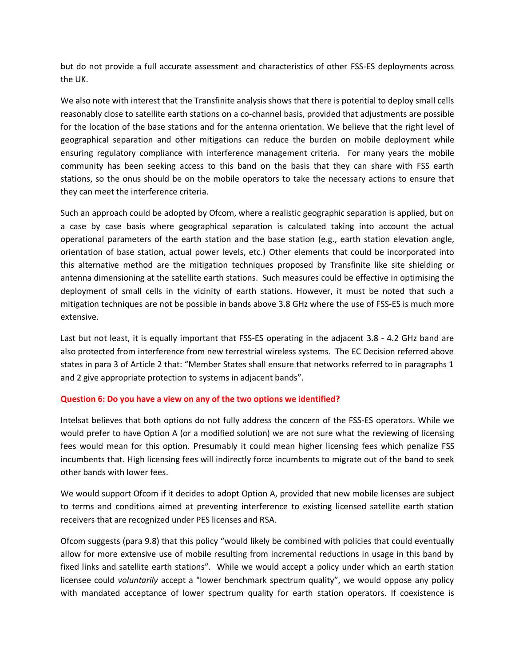but do not provide a full accurate assessment and characteristics of other FSS-ES deployments across the UK.

We also note with interest that the Transfinite analysis shows that there is potential to deploy small cells reasonably close to satellite earth stations on a co-channel basis, provided that adjustments are possible for the location of the base stations and for the antenna orientation. We believe that the right level of geographical separation and other mitigations can reduce the burden on mobile deployment while ensuring regulatory compliance with interference management criteria. For many years the mobile community has been seeking access to this band on the basis that they can share with FSS earth stations, so the onus should be on the mobile operators to take the necessary actions to ensure that they can meet the interference criteria.

Such an approach could be adopted by Ofcom, where a realistic geographic separation is applied, but on a case by case basis where geographical separation is calculated taking into account the actual operational parameters of the earth station and the base station (e.g., earth station elevation angle, orientation of base station, actual power levels, etc.) Other elements that could be incorporated into this alternative method are the mitigation techniques proposed by Transfinite like site shielding or antenna dimensioning at the satellite earth stations. Such measures could be effective in optimising the deployment of small cells in the vicinity of earth stations. However, it must be noted that such a mitigation techniques are not be possible in bands above 3.8 GHz where the use of FSS-ES is much more extensive.

Last but not least, it is equally important that FSS-ES operating in the adjacent 3.8 - 4.2 GHz band are also protected from interference from new terrestrial wireless systems. The EC Decision referred above states in para 3 of Article 2 that: "Member States shall ensure that networks referred to in paragraphs 1 and 2 give appropriate protection to systems in adjacent bands".

### **Question 6: Do you have a view on any of the two options we identified?**

Intelsat believes that both options do not fully address the concern of the FSS-ES operators. While we would prefer to have Option A (or a modified solution) we are not sure what the reviewing of licensing fees would mean for this option. Presumably it could mean higher licensing fees which penalize FSS incumbents that. High licensing fees will indirectly force incumbents to migrate out of the band to seek other bands with lower fees.

We would support Ofcom if it decides to adopt Option A, provided that new mobile licenses are subject to terms and conditions aimed at preventing interference to existing licensed satellite earth station receivers that are recognized under PES licenses and RSA.

Ofcom suggests (para 9.8) that this policy "would likely be combined with policies that could eventually allow for more extensive use of mobile resulting from incremental reductions in usage in this band by fixed links and satellite earth stations". While we would accept a policy under which an earth station licensee could *voluntarily* accept a "lower benchmark spectrum quality", we would oppose any policy with mandated acceptance of lower spectrum quality for earth station operators. If coexistence is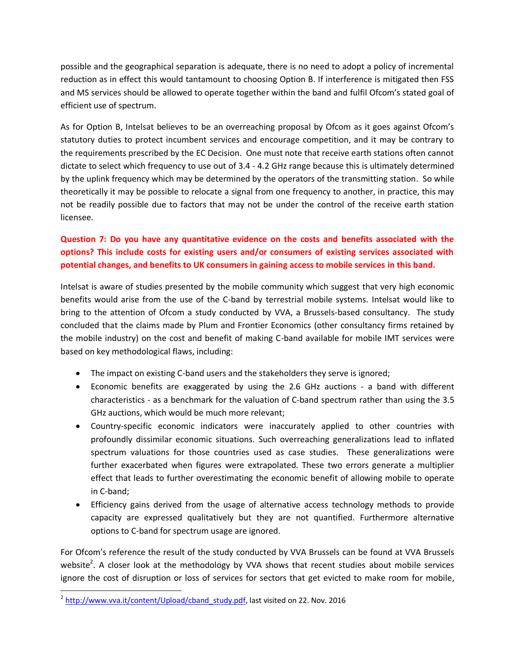possible and the geographical separation is adequate, there is no need to adopt a policy of incremental reduction as in effect this would tantamount to choosing Option B. If interference is mitigated then FSS and MS services should be allowed to operate together within the band and fulfil Ofcom's stated goal of efficient use of spectrum.

As for Option B, Intelsat believes to be an overreaching proposal by Ofcom as it goes against Ofcom's statutory duties to protect incumbent services and encourage competition, and it may be contrary to the requirements prescribed by the EC Decision. One must note that receive earth stations often cannot dictate to select which frequency to use out of 3.4 - 4.2 GHz range because this is ultimately determined by the uplink frequency which may be determined by the operators of the transmitting station. So while theoretically it may be possible to relocate a signal from one frequency to another, in practice, this may not be readily possible due to factors that may not be under the control of the receive earth station licensee.

# **Question 7: Do you have any quantitative evidence on the costs and benefits associated with the options? This include costs for existing users and/or consumers of existing services associated with potential changes, and benefits to UK consumers in gaining access to mobile services in this band.**

Intelsat is aware of studies presented by the mobile community which suggest that very high economic benefits would arise from the use of the C-band by terrestrial mobile systems. Intelsat would like to bring to the attention of Ofcom a study conducted by VVA, a Brussels-based consultancy. The study concluded that the claims made by Plum and Frontier Economics (other consultancy firms retained by the mobile industry) on the cost and benefit of making C-band available for mobile IMT services were based on key methodological flaws, including:

- The impact on existing C-band users and the stakeholders they serve is ignored;
- Economic benefits are exaggerated by using the 2.6 GHz auctions a band with different characteristics - as a benchmark for the valuation of C-band spectrum rather than using the 3.5 GHz auctions, which would be much more relevant;
- Country-specific economic indicators were inaccurately applied to other countries with profoundly dissimilar economic situations. Such overreaching generalizations lead to inflated spectrum valuations for those countries used as case studies. These generalizations were further exacerbated when figures were extrapolated. These two errors generate a multiplier effect that leads to further overestimating the economic benefit of allowing mobile to operate in C-band;
- Efficiency gains derived from the usage of alternative access technology methods to provide capacity are expressed qualitatively but they are not quantified. Furthermore alternative options to C-band for spectrum usage are ignored.

For Ofcom's reference the result of the study conducted by VVA Brussels can be found at VVA Brussels website<sup>2</sup>. A closer look at the methodology by VVA shows that recent studies about mobile services ignore the cost of disruption or loss of services for sectors that get evicted to make room for mobile,

<sup>2&</sup>lt;br>2 [http://www.vva.it/content/Upload/cband\\_study.pdf,](http://www.vva.it/content/Upload/cband_study.pdf) last visited on 22. Nov. 2016